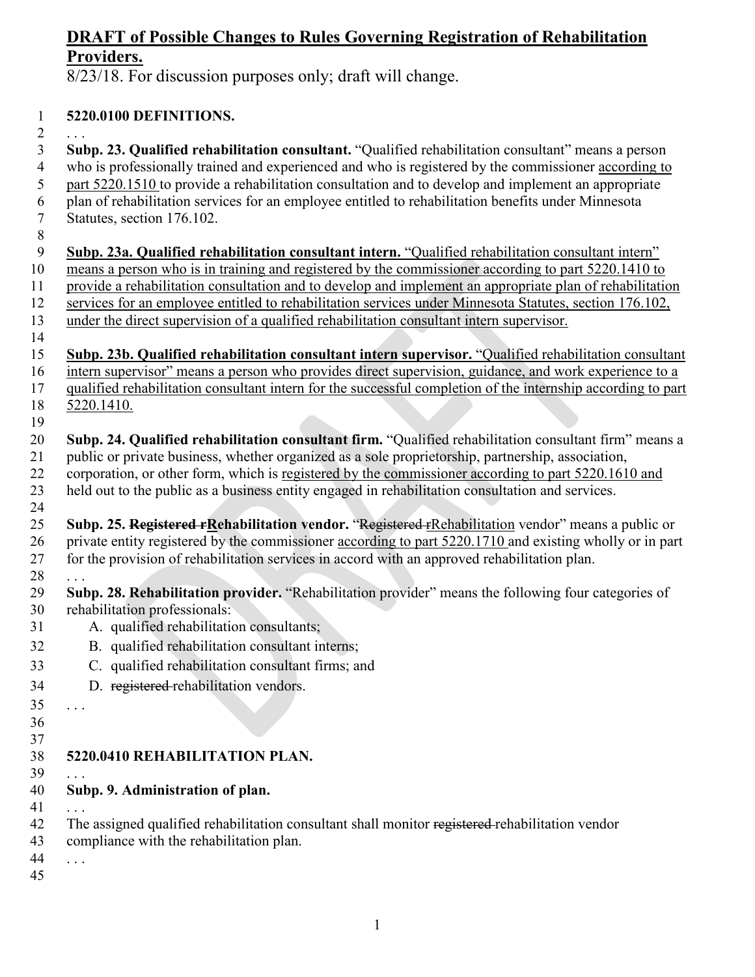8/23/18. For discussion purposes only; draft will change.

## **5220.0100 DEFINITIONS.**

 $\overline{2}$ 

 **Subp. 23. Qualified rehabilitation consultant.** "Qualified rehabilitation consultant" means a person who is professionally trained and experienced and who is registered by the commissioner according to part 5220.1510 to provide a rehabilitation consultation and to develop and implement an appropriate plan of rehabilitation services for an employee entitled to rehabilitation benefits under Minnesota Statutes, section 176.102.

- **Subp. 23a. Qualified rehabilitation consultant intern.** "Qualified rehabilitation consultant intern" means a person who is in training and registered by the commissioner according to part 5220.1410 to provide a rehabilitation consultation and to develop and implement an appropriate plan of rehabilitation services for an employee entitled to rehabilitation services under Minnesota Statutes, section 176.102, under the direct supervision of a qualified rehabilitation consultant intern supervisor.
- 
- **Subp. 23b. Qualified rehabilitation consultant intern supervisor.** "Qualified rehabilitation consultant intern supervisor" means a person who provides direct supervision, guidance, and work experience to a qualified rehabilitation consultant intern for the successful completion of the internship according to part 5220.1410.
- **Subp. 24. Qualified rehabilitation consultant firm.** "Qualified rehabilitation consultant firm" means a public or private business, whether organized as a sole proprietorship, partnership, association, corporation, or other form, which is registered by the commissioner according to part 5220.1610 and held out to the public as a business entity engaged in rehabilitation consultation and services.
- **Subp. 25. Registered rRehabilitation vendor.** "Registered rRehabilitation vendor" means a public or private entity registered by the commissioner according to part 5220.1710 and existing wholly or in part for the provision of rehabilitation services in accord with an approved rehabilitation plan.
- . . . **Subp. 28. Rehabilitation provider.** "Rehabilitation provider" means the following four categories of rehabilitation professionals:
- A. qualified rehabilitation consultants;
- B. qualified rehabilitation consultant interns;
- C. qualified rehabilitation consultant firms; and
- D. registered rehabilitation vendors.
- . . .
- 

# **5220.0410 REHABILITATION PLAN.**

- . . .
- **Subp. 9. Administration of plan.**
- . . . 42 The assigned qualified rehabilitation consultant shall monitor registered rehabilitation vendor compliance with the rehabilitation plan.
- . . .
-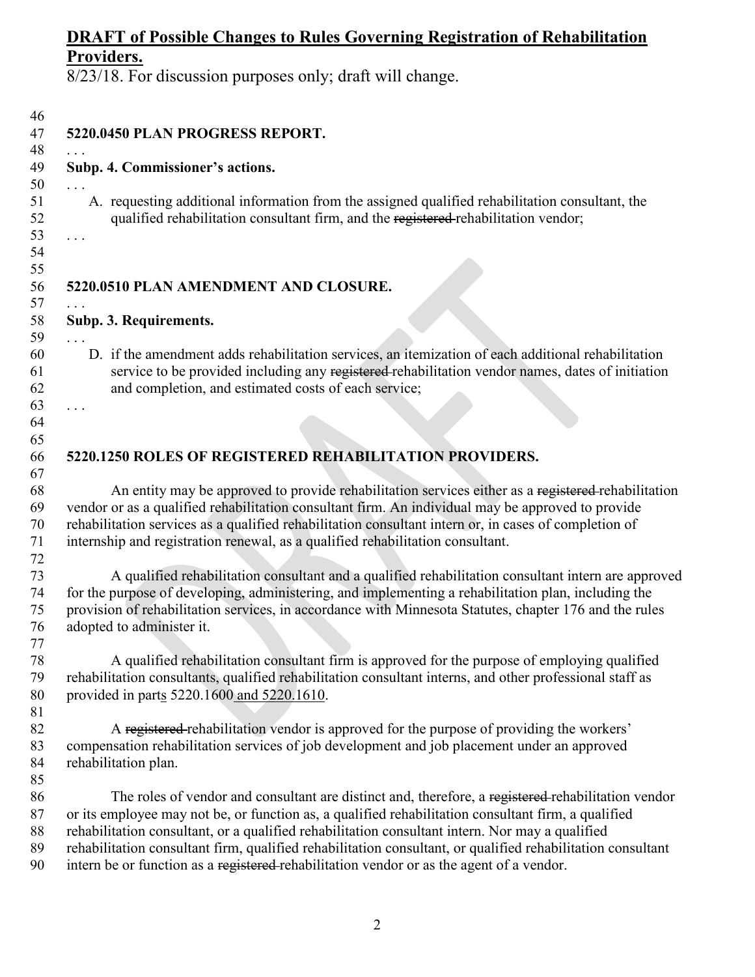| 46                         |                                                                                                                                                                                                                                                                |  |  |  |  |
|----------------------------|----------------------------------------------------------------------------------------------------------------------------------------------------------------------------------------------------------------------------------------------------------------|--|--|--|--|
| 47                         | 5220.0450 PLAN PROGRESS REPORT.                                                                                                                                                                                                                                |  |  |  |  |
| 48                         |                                                                                                                                                                                                                                                                |  |  |  |  |
| 49<br>50                   | Subp. 4. Commissioner's actions.                                                                                                                                                                                                                               |  |  |  |  |
| 51<br>52<br>53<br>54<br>55 | A. requesting additional information from the assigned qualified rehabilitation consultant, the<br>qualified rehabilitation consultant firm, and the registered rehabilitation vendor;                                                                         |  |  |  |  |
|                            | 5220.0510 PLAN AMENDMENT AND CLOSURE.                                                                                                                                                                                                                          |  |  |  |  |
|                            |                                                                                                                                                                                                                                                                |  |  |  |  |
|                            | Subp. 3. Requirements.                                                                                                                                                                                                                                         |  |  |  |  |
|                            |                                                                                                                                                                                                                                                                |  |  |  |  |
|                            | D. if the amendment adds rehabilitation services, an itemization of each additional rehabilitation<br>service to be provided including any registered rehabilitation vendor names, dates of initiation<br>and completion, and estimated costs of each service; |  |  |  |  |
|                            |                                                                                                                                                                                                                                                                |  |  |  |  |
|                            |                                                                                                                                                                                                                                                                |  |  |  |  |
|                            |                                                                                                                                                                                                                                                                |  |  |  |  |
|                            | 5220.1250 ROLES OF REGISTERED REHABILITATION PROVIDERS.                                                                                                                                                                                                        |  |  |  |  |
|                            | An entity may be approved to provide rehabilitation services either as a registered-rehabilitation                                                                                                                                                             |  |  |  |  |
|                            | vendor or as a qualified rehabilitation consultant firm. An individual may be approved to provide                                                                                                                                                              |  |  |  |  |
|                            | rehabilitation services as a qualified rehabilitation consultant intern or, in cases of completion of                                                                                                                                                          |  |  |  |  |
|                            | internship and registration renewal, as a qualified rehabilitation consultant.                                                                                                                                                                                 |  |  |  |  |
|                            |                                                                                                                                                                                                                                                                |  |  |  |  |
|                            | A qualified rehabilitation consultant and a qualified rehabilitation consultant intern are approved                                                                                                                                                            |  |  |  |  |
|                            | for the purpose of developing, administering, and implementing a rehabilitation plan, including the                                                                                                                                                            |  |  |  |  |
|                            | provision of rehabilitation services, in accordance with Minnesota Statutes, chapter 176 and the rules                                                                                                                                                         |  |  |  |  |
|                            | adopted to administer it.                                                                                                                                                                                                                                      |  |  |  |  |
|                            |                                                                                                                                                                                                                                                                |  |  |  |  |
|                            | A qualified rehabilitation consultant firm is approved for the purpose of employing qualified                                                                                                                                                                  |  |  |  |  |
|                            | rehabilitation consultants, qualified rehabilitation consultant interns, and other professional staff as                                                                                                                                                       |  |  |  |  |
|                            | provided in parts 5220.1600 and 5220.1610.                                                                                                                                                                                                                     |  |  |  |  |
|                            |                                                                                                                                                                                                                                                                |  |  |  |  |
|                            | A registered rehabilitation vendor is approved for the purpose of providing the workers'                                                                                                                                                                       |  |  |  |  |
|                            | compensation rehabilitation services of job development and job placement under an approved                                                                                                                                                                    |  |  |  |  |
|                            | rehabilitation plan.                                                                                                                                                                                                                                           |  |  |  |  |
|                            |                                                                                                                                                                                                                                                                |  |  |  |  |
|                            | The roles of vendor and consultant are distinct and, therefore, a registered-rehabilitation vendor                                                                                                                                                             |  |  |  |  |
|                            | or its employee may not be, or function as, a qualified rehabilitation consultant firm, a qualified                                                                                                                                                            |  |  |  |  |
|                            | rehabilitation consultant, or a qualified rehabilitation consultant intern. Nor may a qualified                                                                                                                                                                |  |  |  |  |
|                            | rehabilitation consultant firm, qualified rehabilitation consultant, or qualified rehabilitation consultant<br>intern be or function as a registered rehabilitation vendor or as the agent of a vendor.                                                        |  |  |  |  |
|                            |                                                                                                                                                                                                                                                                |  |  |  |  |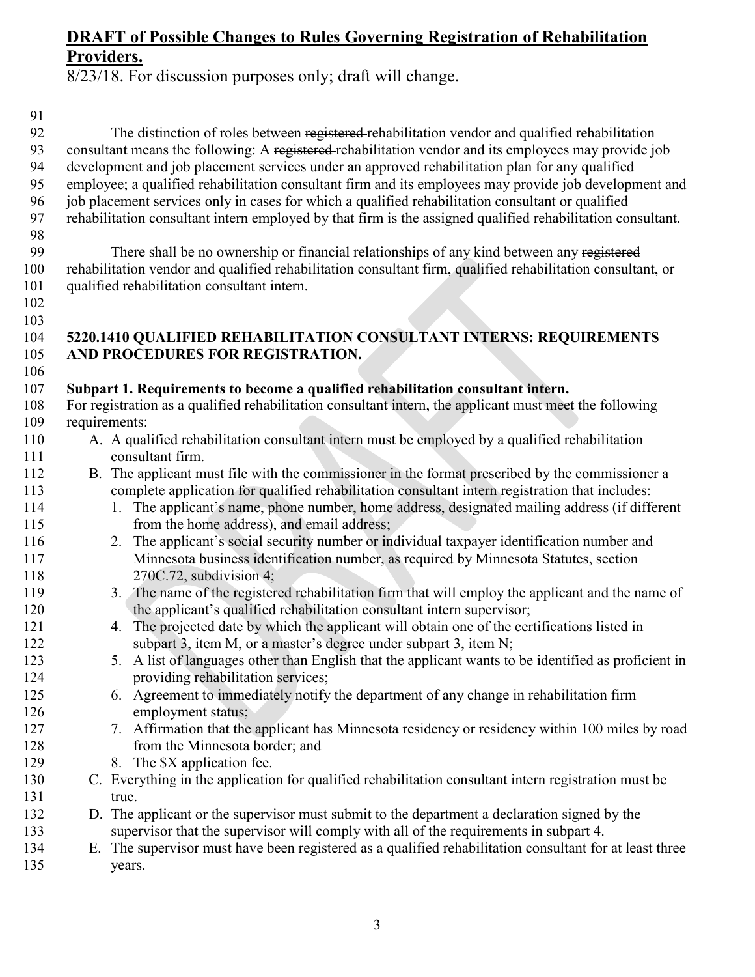The distinction of roles between registered rehabilitation vendor and qualified rehabilitation 93 consultant means the following: A registered rehabilitation vendor and its employees may provide job

8/23/18. For discussion purposes only; draft will change.

 development and job placement services under an approved rehabilitation plan for any qualified employee; a qualified rehabilitation consultant firm and its employees may provide job development and job placement services only in cases for which a qualified rehabilitation consultant or qualified rehabilitation consultant intern employed by that firm is the assigned qualified rehabilitation consultant. There shall be no ownership or financial relationships of any kind between any registered rehabilitation vendor and qualified rehabilitation consultant firm, qualified rehabilitation consultant, or qualified rehabilitation consultant intern. **5220.1410 QUALIFIED REHABILITATION CONSULTANT INTERNS: REQUIREMENTS AND PROCEDURES FOR REGISTRATION. Subpart 1. Requirements to become a qualified rehabilitation consultant intern.** For registration as a qualified rehabilitation consultant intern, the applicant must meet the following requirements: A. A qualified rehabilitation consultant intern must be employed by a qualified rehabilitation consultant firm. B. The applicant must file with the commissioner in the format prescribed by the commissioner a complete application for qualified rehabilitation consultant intern registration that includes: 114 1. The applicant's name, phone number, home address, designated mailing address (if different from the home address), and email address; 2. The applicant's social security number or individual taxpayer identification number and Minnesota business identification number, as required by Minnesota Statutes, section 270C.72, subdivision 4; 3. The name of the registered rehabilitation firm that will employ the applicant and the name of 120 the applicant's qualified rehabilitation consultant intern supervisor; 4. The projected date by which the applicant will obtain one of the certifications listed in subpart 3, item M, or a master's degree under subpart 3, item N; 5. A list of languages other than English that the applicant wants to be identified as proficient in providing rehabilitation services; 6. Agreement to immediately notify the department of any change in rehabilitation firm employment status; 7. Affirmation that the applicant has Minnesota residency or residency within 100 miles by road from the Minnesota border; and 129 8. The \$X application fee. C. Everything in the application for qualified rehabilitation consultant intern registration must be true. D. The applicant or the supervisor must submit to the department a declaration signed by the supervisor that the supervisor will comply with all of the requirements in subpart 4. E. The supervisor must have been registered as a qualified rehabilitation consultant for at least three years.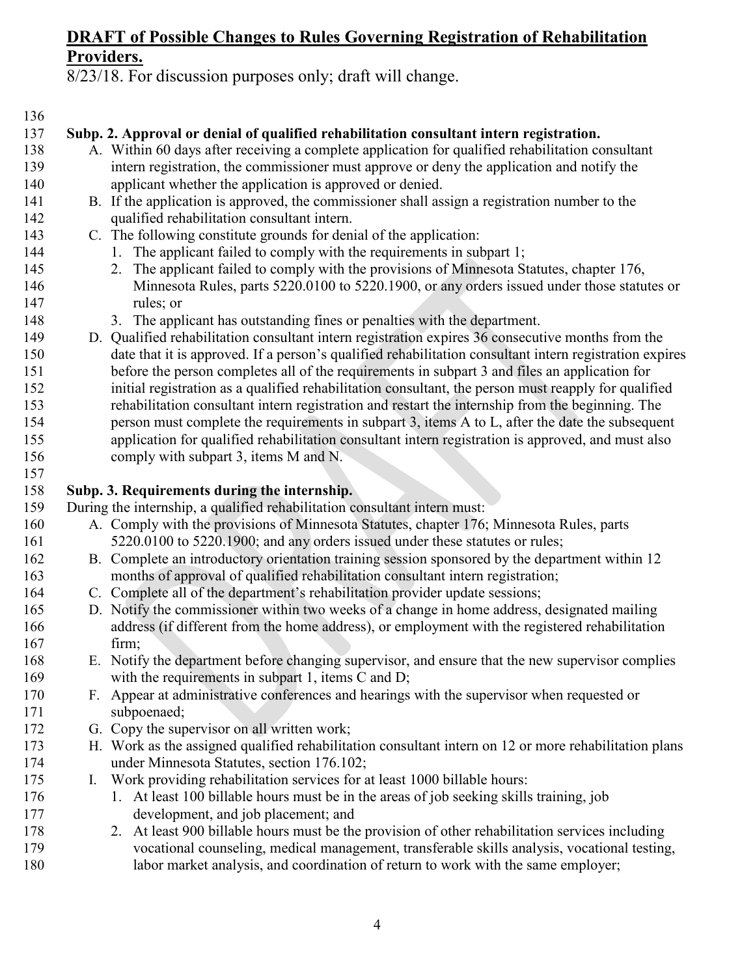8/23/18. For discussion purposes only; draft will change.

#### 

### **Subp. 2. Approval or denial of qualified rehabilitation consultant intern registration.**

- A. Within 60 days after receiving a complete application for qualified rehabilitation consultant intern registration, the commissioner must approve or deny the application and notify the applicant whether the application is approved or denied.
- B. If the application is approved, the commissioner shall assign a registration number to the qualified rehabilitation consultant intern.
- C. The following constitute grounds for denial of the application:
- 144 1. The applicant failed to comply with the requirements in subpart 1;
- 2. The applicant failed to comply with the provisions of Minnesota Statutes, chapter 176, 146 Minnesota Rules, parts 5220.0100 to 5220.1900, or any orders issued under those statutes or rules; or
- 3. The applicant has outstanding fines or penalties with the department.
- D. Qualified rehabilitation consultant intern registration expires 36 consecutive months from the date that it is approved. If a person's qualified rehabilitation consultant intern registration expires before the person completes all of the requirements in subpart 3 and files an application for initial registration as a qualified rehabilitation consultant, the person must reapply for qualified rehabilitation consultant intern registration and restart the internship from the beginning. The person must complete the requirements in subpart 3, items A to L, after the date the subsequent application for qualified rehabilitation consultant intern registration is approved, and must also comply with subpart 3, items M and N.
- **Subp. 3. Requirements during the internship.**

During the internship, a qualified rehabilitation consultant intern must:

- A. Comply with the provisions of Minnesota Statutes, chapter 176; Minnesota Rules, parts [5220.0100](https://www.revisor.mn.gov/rules/?id=5220.0100) to [5220.1900;](https://www.revisor.mn.gov/rules/?id=5220.1900) and any orders issued under these statutes or rules;
- B. Complete an introductory orientation training session sponsored by the department within 12 months of approval of qualified rehabilitation consultant intern registration;
- C. Complete all of the department's rehabilitation provider update sessions;
- D. Notify the commissioner within two weeks of a change in home address, designated mailing address (if different from the home address), or employment with the registered rehabilitation firm;
- E. Notify the department before changing supervisor, and ensure that the new supervisor complies with the requirements in subpart 1, items C and D;
- F. Appear at administrative conferences and hearings with the supervisor when requested or subpoenaed;
- G. Copy the supervisor on all written work;
- H. Work as the assigned qualified rehabilitation consultant intern on 12 or more rehabilitation plans under Minnesota Statutes, section 176.102;
- I. Work providing rehabilitation services for at least 1000 billable hours:
- 176 1. At least 100 billable hours must be in the areas of job seeking skills training, job development, and job placement; and
- 2. At least 900 billable hours must be the provision of other rehabilitation services including vocational counseling, medical management, transferable skills analysis, vocational testing, labor market analysis, and coordination of return to work with the same employer;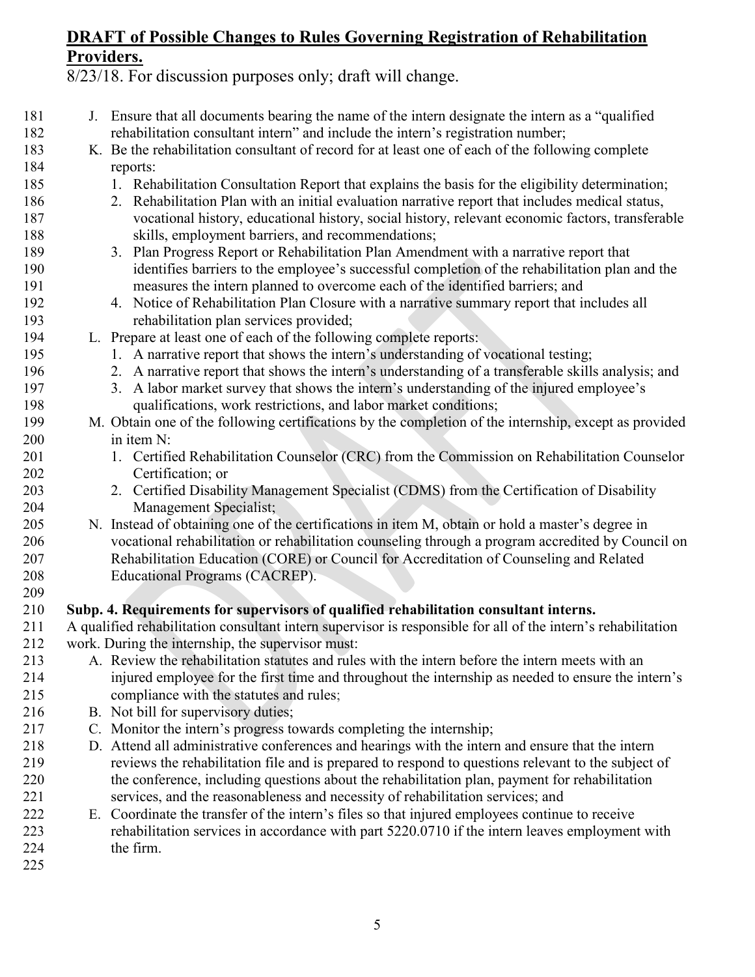8/23/18. For discussion purposes only; draft will change.

 J. Ensure that all documents bearing the name of the intern designate the intern as a "qualified rehabilitation consultant intern" and include the intern's registration number; K. Be the rehabilitation consultant of record for at least one of each of the following complete reports: 1. Rehabilitation Consultation Report that explains the basis for the eligibility determination; 2. Rehabilitation Plan with an initial evaluation narrative report that includes medical status, vocational history, educational history, social history, relevant economic factors, transferable skills, employment barriers, and recommendations; 3. Plan Progress Report or Rehabilitation Plan Amendment with a narrative report that identifies barriers to the employee's successful completion of the rehabilitation plan and the measures the intern planned to overcome each of the identified barriers; and 4. Notice of Rehabilitation Plan Closure with a narrative summary report that includes all rehabilitation plan services provided; L. Prepare at least one of each of the following complete reports: 1. A narrative report that shows the intern's understanding of vocational testing; 2. A narrative report that shows the intern's understanding of a transferable skills analysis; and 3. A labor market survey that shows the intern's understanding of the injured employee's qualifications, work restrictions, and labor market conditions; M. Obtain one of the following certifications by the completion of the internship, except as provided in item N: 201 1. Certified Rehabilitation Counselor (CRC) from the Commission on Rehabilitation Counselor Certification; or 2. Certified Disability Management Specialist (CDMS) from the Certification of Disability Management Specialist; N. Instead of obtaining one of the certifications in item M, obtain or hold a master's degree in vocational rehabilitation or rehabilitation counseling through a program accredited by Council on Rehabilitation Education (CORE) or Council for Accreditation of Counseling and Related Educational Programs (CACREP). **Subp. 4. Requirements for supervisors of qualified rehabilitation consultant interns.** A qualified rehabilitation consultant intern supervisor is responsible for all of the intern's rehabilitation work. During the internship, the supervisor must: A. Review the rehabilitation statutes and rules with the intern before the intern meets with an injured employee for the first time and throughout the internship as needed to ensure the intern's compliance with the statutes and rules; 216 B. Not bill for supervisory duties; C. Monitor the intern's progress towards completing the internship; D. Attend all administrative conferences and hearings with the intern and ensure that the intern reviews the rehabilitation file and is prepared to respond to questions relevant to the subject of the conference, including questions about the rehabilitation plan, payment for rehabilitation services, and the reasonableness and necessity of rehabilitation services; and E. Coordinate the transfer of the intern's files so that injured employees continue to receive rehabilitation services in accordance with part 5220.0710 if the intern leaves employment with the firm.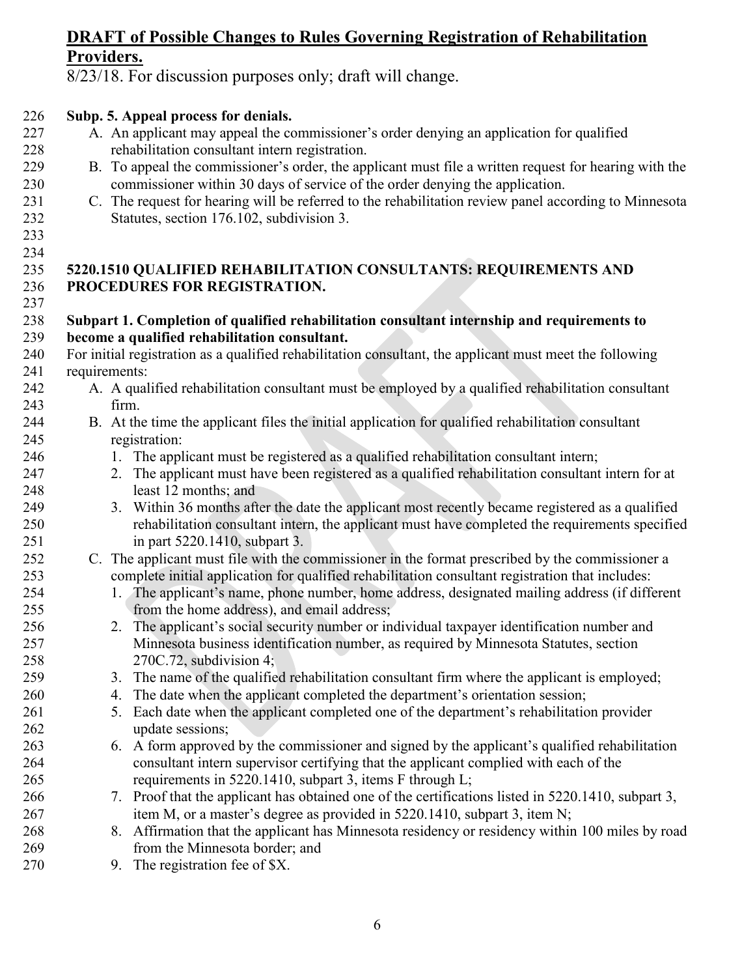8/23/18. For discussion purposes only; draft will change.

## **Subp. 5. Appeal process for denials.**

- A. An applicant may appeal the commissioner's order denying an application for qualified rehabilitation consultant intern registration.
- B. To appeal the commissioner's order, the applicant must file a written request for hearing with the commissioner within 30 days of service of the order denying the application.
- C. The request for hearing will be referred to the rehabilitation review panel according to Minnesota Statutes, section [176.102,](https://www.revisor.mn.gov/statutes/?id=176.102) subdivision 3.
- 

#### **5220.1510 QUALIFIED REHABILITATION CONSULTANTS: REQUIREMENTS AND PROCEDURES FOR REGISTRATION.**

#### **Subpart 1. Completion of qualified rehabilitation consultant internship and requirements to become a qualified rehabilitation consultant.**

- For initial registration as a qualified rehabilitation consultant, the applicant must meet the following requirements:
- A. A qualified rehabilitation consultant must be employed by a qualified rehabilitation consultant firm.
- B. At the time the applicant files the initial application for qualified rehabilitation consultant registration:
- 246 1. The applicant must be registered as a qualified rehabilitation consultant intern;
- 2. The applicant must have been registered as a qualified rehabilitation consultant intern for at least 12 months; and
- 3. Within 36 months after the date the applicant most recently became registered as a qualified rehabilitation consultant intern, the applicant must have completed the requirements specified in part 5220.1410, subpart 3.
- C. The applicant must file with the commissioner in the format prescribed by the commissioner a complete initial application for qualified rehabilitation consultant registration that includes:
- 1. The applicant's name, phone number, home address, designated mailing address (if different from the home address), and email address;
- 2. The applicant's social security number or individual taxpayer identification number and Minnesota business identification number, as required by Minnesota Statutes, section 270C.72, subdivision 4;
- 3. The name of the qualified rehabilitation consultant firm where the applicant is employed;
- 4. The date when the applicant completed the department's orientation session;
- 5. Each date when the applicant completed one of the department's rehabilitation provider update sessions;
- 6. A form approved by the commissioner and signed by the applicant's qualified rehabilitation consultant intern supervisor certifying that the applicant complied with each of the requirements in 5220.1410, subpart 3, items F through L;
- 7. Proof that the applicant has obtained one of the certifications listed in 5220.1410, subpart 3, item M, or a master's degree as provided in 5220.1410, subpart 3, item N;
- 8. Affirmation that the applicant has Minnesota residency or residency within 100 miles by road from the Minnesota border; and
- 270 9. The registration fee of \$X.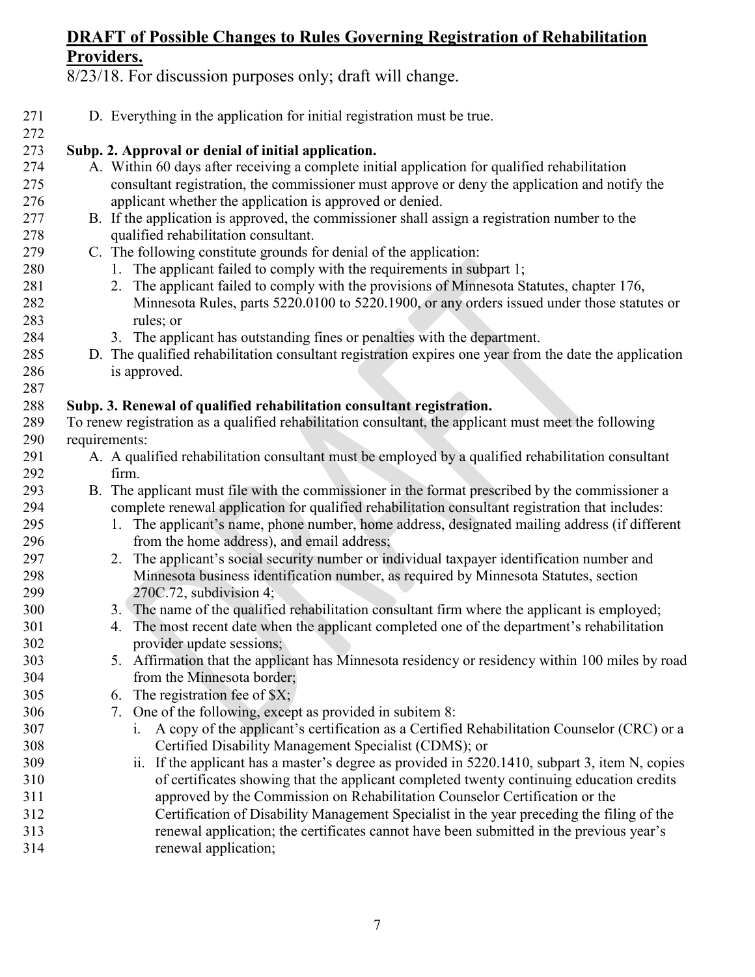| 271 | D. Everything in the application for initial registration must be true.                                |
|-----|--------------------------------------------------------------------------------------------------------|
| 272 |                                                                                                        |
| 273 | Subp. 2. Approval or denial of initial application.                                                    |
| 274 | A. Within 60 days after receiving a complete initial application for qualified rehabilitation          |
| 275 | consultant registration, the commissioner must approve or deny the application and notify the          |
| 276 | applicant whether the application is approved or denied.                                               |
| 277 | B. If the application is approved, the commissioner shall assign a registration number to the          |
| 278 | qualified rehabilitation consultant.                                                                   |
| 279 | C. The following constitute grounds for denial of the application:                                     |
| 280 | 1. The applicant failed to comply with the requirements in subpart 1;                                  |
| 281 | 2. The applicant failed to comply with the provisions of Minnesota Statutes, chapter 176,              |
| 282 | Minnesota Rules, parts 5220.0100 to 5220.1900, or any orders issued under those statutes or            |
| 283 | rules; or                                                                                              |
| 284 | 3. The applicant has outstanding fines or penalties with the department.                               |
| 285 | D. The qualified rehabilitation consultant registration expires one year from the date the application |
| 286 | is approved.                                                                                           |
| 287 |                                                                                                        |
| 288 | Subp. 3. Renewal of qualified rehabilitation consultant registration.                                  |
| 289 | To renew registration as a qualified rehabilitation consultant, the applicant must meet the following  |
| 290 | requirements:                                                                                          |
| 291 | A. A qualified rehabilitation consultant must be employed by a qualified rehabilitation consultant     |
| 292 | firm.                                                                                                  |
| 293 | B. The applicant must file with the commissioner in the format prescribed by the commissioner a        |
| 294 | complete renewal application for qualified rehabilitation consultant registration that includes:       |
| 295 | The applicant's name, phone number, home address, designated mailing address (if different<br>1.       |
| 296 | from the home address), and email address;                                                             |
| 297 | 2. The applicant's social security number or individual taxpayer identification number and             |
| 298 | Minnesota business identification number, as required by Minnesota Statutes, section                   |
| 299 | 270C.72, subdivision 4;                                                                                |
| 300 | 3. The name of the qualified rehabilitation consultant firm where the applicant is employed;           |
| 301 | The most recent date when the applicant completed one of the department's rehabilitation<br>4.         |
| 302 | provider update sessions;                                                                              |
| 303 | 5. Affirmation that the applicant has Minnesota residency or residency within 100 miles by road        |
| 304 | from the Minnesota border;                                                                             |
| 305 | The registration fee of $X$ ;<br>6.                                                                    |
| 306 | 7. One of the following, except as provided in subitem 8:                                              |
| 307 | A copy of the applicant's certification as a Certified Rehabilitation Counselor (CRC) or a<br>1.       |
| 308 | Certified Disability Management Specialist (CDMS); or                                                  |
| 309 | If the applicant has a master's degree as provided in 5220.1410, subpart 3, item N, copies<br>11.      |
| 310 | of certificates showing that the applicant completed twenty continuing education credits               |
| 311 | approved by the Commission on Rehabilitation Counselor Certification or the                            |
| 312 | Certification of Disability Management Specialist in the year preceding the filing of the              |
| 313 | renewal application; the certificates cannot have been submitted in the previous year's                |
| 314 | renewal application;                                                                                   |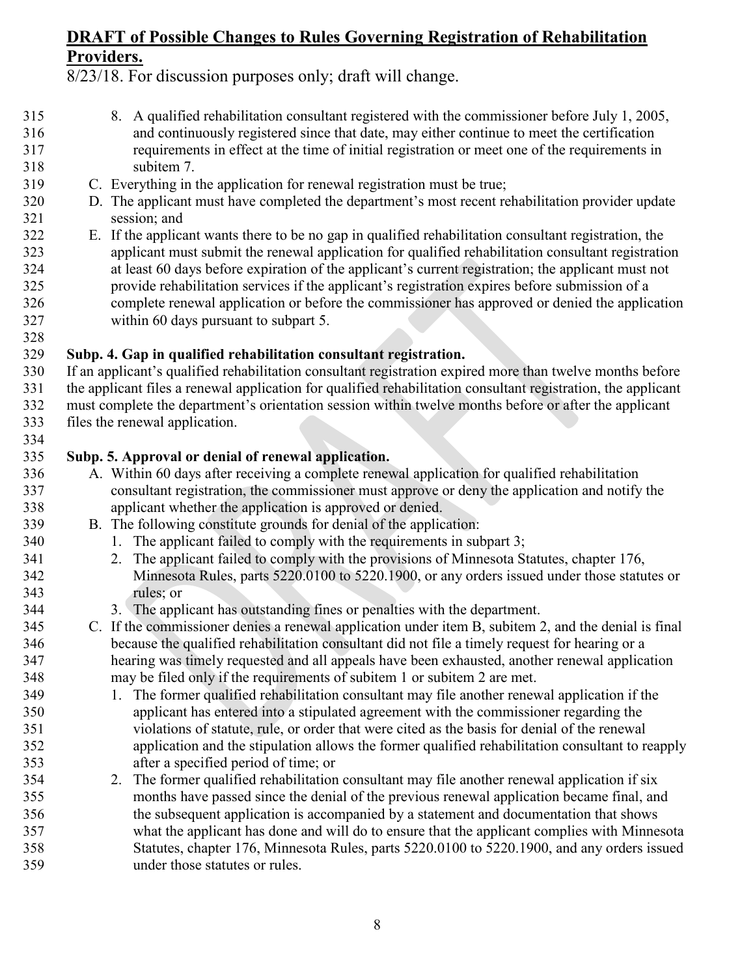8/23/18. For discussion purposes only; draft will change.

- 8. A qualified rehabilitation consultant registered with the commissioner before July 1, 2005, and continuously registered since that date, may either continue to meet the certification requirements in effect at the time of initial registration or meet one of the requirements in subitem 7.
- C. Everything in the application for renewal registration must be true;
- D. The applicant must have completed the department's most recent rehabilitation provider update session; and
- E. If the applicant wants there to be no gap in qualified rehabilitation consultant registration, the applicant must submit the renewal application for qualified rehabilitation consultant registration at least 60 days before expiration of the applicant's current registration; the applicant must not provide rehabilitation services if the applicant's registration expires before submission of a complete renewal application or before the commissioner has approved or denied the application within 60 days pursuant to subpart 5.

#### **Subp. 4. Gap in qualified rehabilitation consultant registration.**

 If an applicant's qualified rehabilitation consultant registration expired more than twelve months before the applicant files a renewal application for qualified rehabilitation consultant registration, the applicant must complete the department's orientation session within twelve months before or after the applicant files the renewal application.

#### **Subp. 5. Approval or denial of renewal application.**

- A. Within 60 days after receiving a complete renewal application for qualified rehabilitation consultant registration, the commissioner must approve or deny the application and notify the applicant whether the application is approved or denied.
- B. The following constitute grounds for denial of the application:
- 340 1. The applicant failed to comply with the requirements in subpart 3;
- 2. The applicant failed to comply with the provisions of Minnesota Statutes, chapter 176, Minnesota Rules, parts 5220.0100 to 5220.1900, or any orders issued under those statutes or rules; or
- 3. The applicant has outstanding fines or penalties with the department.
- C. If the commissioner denies a renewal application under item B, subitem 2, and the denial is final because the qualified rehabilitation consultant did not file a timely request for hearing or a hearing was timely requested and all appeals have been exhausted, another renewal application may be filed only if the requirements of subitem 1 or subitem 2 are met.
- 1. The former qualified rehabilitation consultant may file another renewal application if the applicant has entered into a stipulated agreement with the commissioner regarding the violations of statute, rule, or order that were cited as the basis for denial of the renewal application and the stipulation allows the former qualified rehabilitation consultant to reapply after a specified period of time; or
- 2. The former qualified rehabilitation consultant may file another renewal application if six months have passed since the denial of the previous renewal application became final, and the subsequent application is accompanied by a statement and documentation that shows what the applicant has done and will do to ensure that the applicant complies with Minnesota Statutes, chapter 176, Minnesota Rules, parts 5220.0100 to 5220.1900, and any orders issued under those statutes or rules.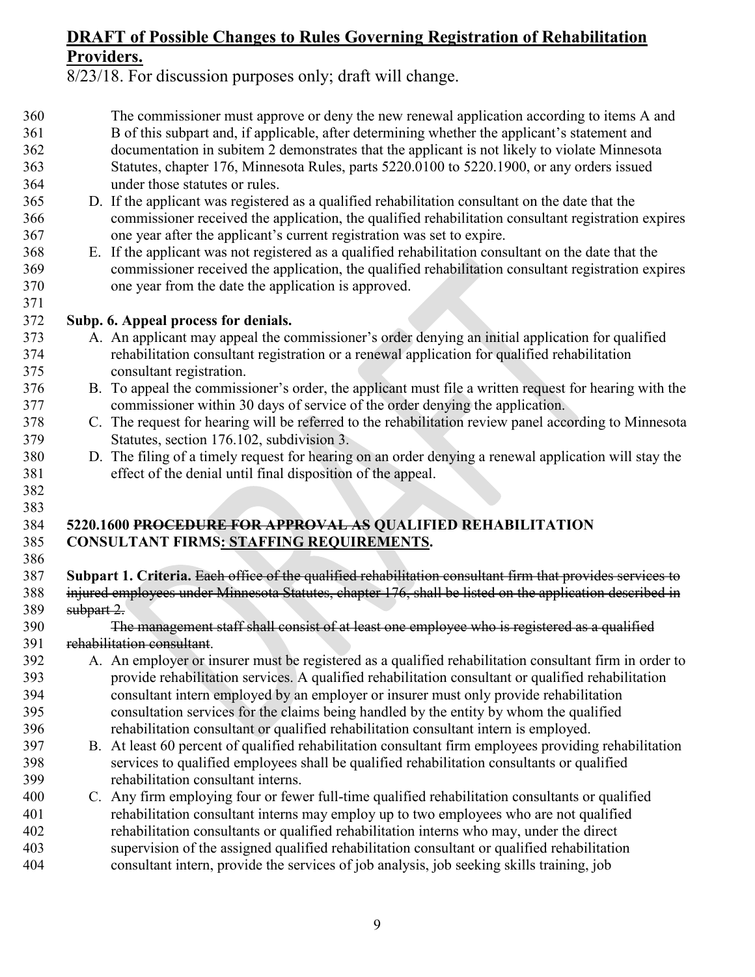8/23/18. For discussion purposes only; draft will change.

- The commissioner must approve or deny the new renewal application according to items A and B of this subpart and, if applicable, after determining whether the applicant's statement and documentation in subitem 2 demonstrates that the applicant is not likely to violate Minnesota Statutes, chapter 176, Minnesota Rules, parts 5220.0100 to 5220.1900, or any orders issued under those statutes or rules.
- D. If the applicant was registered as a qualified rehabilitation consultant on the date that the commissioner received the application, the qualified rehabilitation consultant registration expires one year after the applicant's current registration was set to expire.
- E. If the applicant was not registered as a qualified rehabilitation consultant on the date that the commissioner received the application, the qualified rehabilitation consultant registration expires one year from the date the application is approved.

### **Subp. 6. Appeal process for denials.**

- A. An applicant may appeal the commissioner's order denying an initial application for qualified rehabilitation consultant registration or a renewal application for qualified rehabilitation consultant registration.
- B. To appeal the commissioner's order, the applicant must file a written request for hearing with the commissioner within 30 days of service of the order denying the application.
- C. The request for hearing will be referred to the rehabilitation review panel according to Minnesota Statutes, section [176.102,](https://www.revisor.mn.gov/statutes/?id=176.102) subdivision 3.
- D. The filing of a timely request for hearing on an order denying a renewal application will stay the effect of the denial until final disposition of the appeal.

## **5220.1600 PROCEDURE FOR APPROVAL AS QUALIFIED REHABILITATION CONSULTANT FIRMS: STAFFING REQUIREMENTS.**

 

 **Subpart 1. Criteria.** Each office of the qualified rehabilitation consultant firm that provides services to injured employees under Minnesota Statutes, chapter 176, shall be listed on the application described in subpart 2.

 The management staff shall consist of at least one employee who is registered as a qualified rehabilitation consultant.

- A. An employer or insurer must be registered as a qualified rehabilitation consultant firm in order to provide rehabilitation services. A qualified rehabilitation consultant or qualified rehabilitation consultant intern employed by an employer or insurer must only provide rehabilitation consultation services for the claims being handled by the entity by whom the qualified rehabilitation consultant or qualified rehabilitation consultant intern is employed.
- B. At least 60 percent of qualified rehabilitation consultant firm employees providing rehabilitation services to qualified employees shall be qualified rehabilitation consultants or qualified rehabilitation consultant interns.
- C. Any firm employing four or fewer full-time qualified rehabilitation consultants or qualified rehabilitation consultant interns may employ up to two employees who are not qualified rehabilitation consultants or qualified rehabilitation interns who may, under the direct supervision of the assigned qualified rehabilitation consultant or qualified rehabilitation consultant intern, provide the services of job analysis, job seeking skills training, job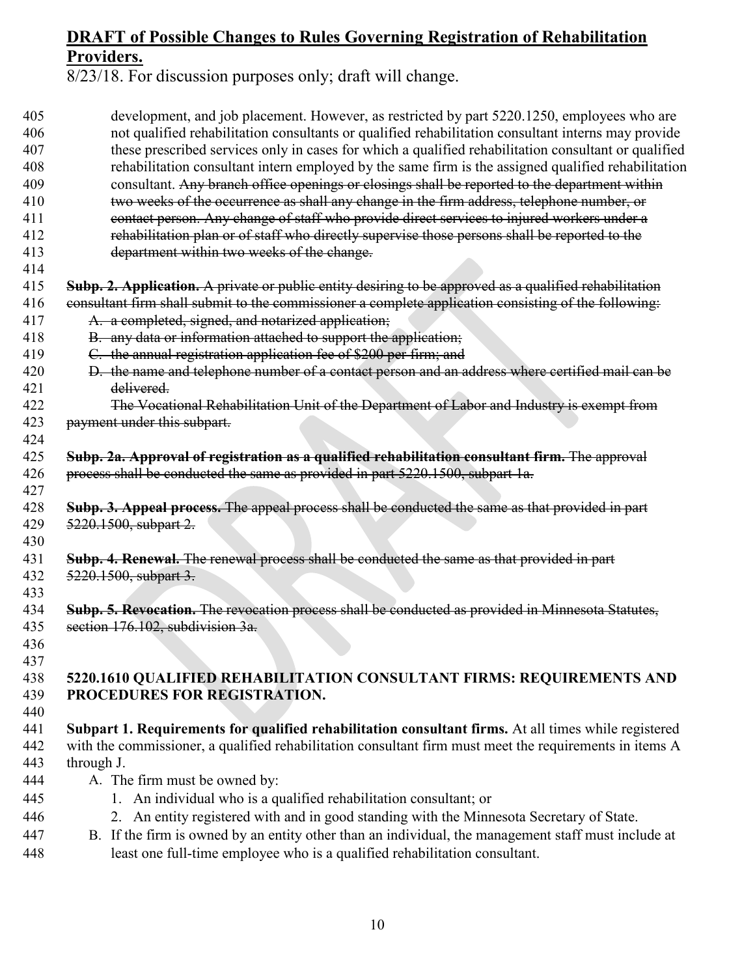| 405 | development, and job placement. However, as restricted by part 5220.1250, employees who are             |
|-----|---------------------------------------------------------------------------------------------------------|
| 406 | not qualified rehabilitation consultants or qualified rehabilitation consultant interns may provide     |
| 407 | these prescribed services only in cases for which a qualified rehabilitation consultant or qualified    |
| 408 | rehabilitation consultant intern employed by the same firm is the assigned qualified rehabilitation     |
| 409 | consultant. Any branch office openings or closings shall be reported to the department within           |
| 410 | two weeks of the occurrence as shall any change in the firm address, telephone number, or               |
| 411 | contact person. Any change of staff who provide direct services to injured workers under a              |
| 412 | rehabilitation plan or of staff who directly supervise those persons shall be reported to the           |
| 413 | department within two weeks of the change.                                                              |
| 414 |                                                                                                         |
| 415 | Subp. 2. Application. A private or public entity desiring to be approved as a qualified rehabilitation  |
| 416 | consultant firm shall submit to the commissioner a complete application consisting of the following:    |
| 417 | A. a completed, signed, and notarized application;                                                      |
| 418 | B. any data or information attached to support the application;                                         |
| 419 | C. the annual registration application fee of \$200 per firm; and                                       |
| 420 | D. the name and telephone number of a contact person and an address where certified mail can be         |
| 421 | delivered.                                                                                              |
| 422 | The Vocational Rehabilitation Unit of the Department of Labor and Industry is exempt from               |
| 423 | payment under this subpart.                                                                             |
| 424 |                                                                                                         |
| 425 | Subp. 2a. Approval of registration as a qualified rehabilitation consultant firm. The approval          |
| 426 | process shall be conducted the same as provided in part 5220.1500, subpart 1a.                          |
| 427 |                                                                                                         |
| 428 | Subp. 3. Appeal process. The appeal process shall be conducted the same as that provided in part        |
| 429 | 5220.1500, subpart 2.                                                                                   |
| 430 |                                                                                                         |
| 431 | Subp. 4. Renewal. The renewal process shall be conducted the same as that provided in part              |
| 432 | 5220.1500, subpart 3.                                                                                   |
| 433 |                                                                                                         |
| 434 | Subp. 5. Revocation. The revocation process shall be conducted as provided in Minnesota Statutes,       |
| 435 | section 176.102, subdivision 3a.                                                                        |
| 436 |                                                                                                         |
| 437 |                                                                                                         |
| 438 | 5220.1610 QUALIFIED REHABILITATION CONSULTANT FIRMS: REQUIREMENTS AND                                   |
| 439 | PROCEDURES FOR REGISTRATION.                                                                            |
| 440 |                                                                                                         |
| 441 | Subpart 1. Requirements for qualified rehabilitation consultant firms. At all times while registered    |
| 442 | with the commissioner, a qualified rehabilitation consultant firm must meet the requirements in items A |
| 443 | through J.                                                                                              |
| 444 | A. The firm must be owned by:                                                                           |
| 445 | An individual who is a qualified rehabilitation consultant; or<br>$1_{-}$                               |
| 446 | 2. An entity registered with and in good standing with the Minnesota Secretary of State.                |
| 447 | B. If the firm is owned by an entity other than an individual, the management staff must include at     |
| 448 | least one full-time employee who is a qualified rehabilitation consultant.                              |
|     |                                                                                                         |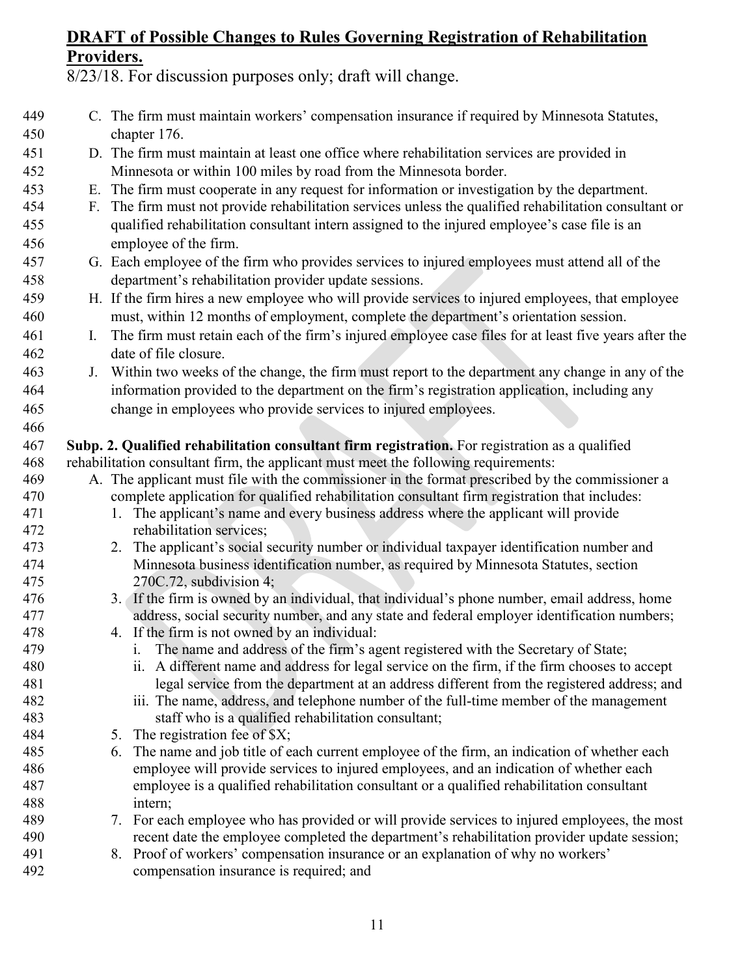| 449<br>450 |    | C. The firm must maintain workers' compensation insurance if required by Minnesota Statutes,<br>chapter 176.                                                                         |
|------------|----|--------------------------------------------------------------------------------------------------------------------------------------------------------------------------------------|
| 451        |    | D. The firm must maintain at least one office where rehabilitation services are provided in                                                                                          |
| 452        |    | Minnesota or within 100 miles by road from the Minnesota border.                                                                                                                     |
| 453        |    | E. The firm must cooperate in any request for information or investigation by the department.                                                                                        |
| 454        |    | F. The firm must not provide rehabilitation services unless the qualified rehabilitation consultant or                                                                               |
| 455        |    | qualified rehabilitation consultant intern assigned to the injured employee's case file is an                                                                                        |
| 456        |    | employee of the firm.                                                                                                                                                                |
| 457        |    | G. Each employee of the firm who provides services to injured employees must attend all of the                                                                                       |
| 458        |    | department's rehabilitation provider update sessions.                                                                                                                                |
| 459        |    | H. If the firm hires a new employee who will provide services to injured employees, that employee                                                                                    |
| 460        |    | must, within 12 months of employment, complete the department's orientation session.                                                                                                 |
| 461        | I. | The firm must retain each of the firm's injured employee case files for at least five years after the                                                                                |
| 462        |    | date of file closure.                                                                                                                                                                |
| 463        | J. | Within two weeks of the change, the firm must report to the department any change in any of the                                                                                      |
| 464        |    | information provided to the department on the firm's registration application, including any                                                                                         |
| 465        |    | change in employees who provide services to injured employees.                                                                                                                       |
| 466        |    |                                                                                                                                                                                      |
| 467        |    | Subp. 2. Qualified rehabilitation consultant firm registration. For registration as a qualified                                                                                      |
| 468        |    | rehabilitation consultant firm, the applicant must meet the following requirements:                                                                                                  |
| 469        |    | A. The applicant must file with the commissioner in the format prescribed by the commissioner a                                                                                      |
| 470        |    | complete application for qualified rehabilitation consultant firm registration that includes:                                                                                        |
| 471        |    | 1. The applicant's name and every business address where the applicant will provide                                                                                                  |
| 472        |    | rehabilitation services;                                                                                                                                                             |
| 473        |    | 2. The applicant's social security number or individual taxpayer identification number and                                                                                           |
| 474        |    | Minnesota business identification number, as required by Minnesota Statutes, section                                                                                                 |
| 475        |    | $270C.72$ , subdivision 4;                                                                                                                                                           |
| 476        |    | 3. If the firm is owned by an individual, that individual's phone number, email address, home                                                                                        |
| 477        |    | address, social security number, and any state and federal employer identification numbers;                                                                                          |
| 478        |    | 4. If the firm is not owned by an individual:                                                                                                                                        |
| 479        |    | The name and address of the firm's agent registered with the Secretary of State;<br>1.                                                                                               |
| 480        |    | ii. A different name and address for legal service on the firm, if the firm chooses to accept                                                                                        |
| 481        |    | legal service from the department at an address different from the registered address; and                                                                                           |
| 482        |    | iii. The name, address, and telephone number of the full-time member of the management                                                                                               |
| 483        |    | staff who is a qualified rehabilitation consultant;                                                                                                                                  |
| 484        |    | 5. The registration fee of \$X;                                                                                                                                                      |
| 485        |    | The name and job title of each current employee of the firm, an indication of whether each<br>6.                                                                                     |
| 486<br>487 |    | employee will provide services to injured employees, and an indication of whether each<br>employee is a qualified rehabilitation consultant or a qualified rehabilitation consultant |
| 488        |    | intern;                                                                                                                                                                              |
| 489        |    | 7. For each employee who has provided or will provide services to injured employees, the most                                                                                        |
| 490        |    | recent date the employee completed the department's rehabilitation provider update session;                                                                                          |
| 491        |    | 8. Proof of workers' compensation insurance or an explanation of why no workers'                                                                                                     |
| 492        |    | compensation insurance is required; and                                                                                                                                              |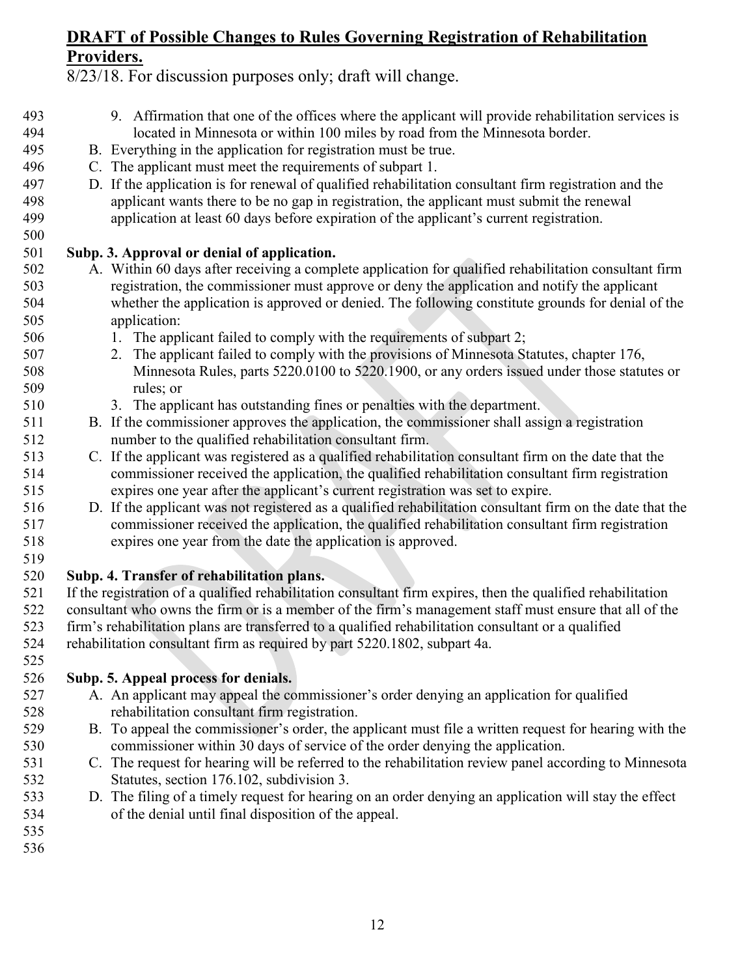- 9. Affirmation that one of the offices where the applicant will provide rehabilitation services is located in Minnesota or within 100 miles by road from the Minnesota border. B. Everything in the application for registration must be true. C. The applicant must meet the requirements of subpart 1. D. If the application is for renewal of qualified rehabilitation consultant firm registration and the 498 applicant wants there to be no gap in registration, the applicant must submit the renewal<br>499 application at least 60 days before expiration of the applicant's current registration. application at least 60 days before expiration of the applicant's current registration. **Subp. 3. Approval or denial of application.** A. Within 60 days after receiving a complete application for qualified rehabilitation consultant firm registration, the commissioner must approve or deny the application and notify the applicant whether the application is approved or denied. The following constitute grounds for denial of the application: 1. The applicant failed to comply with the requirements of subpart 2; 2. The applicant failed to comply with the provisions of Minnesota Statutes, chapter 176, Minnesota Rules, parts 5220.0100 to 5220.1900, or any orders issued under those statutes or rules; or 3. The applicant has outstanding fines or penalties with the department. B. If the commissioner approves the application, the commissioner shall assign a registration number to the qualified rehabilitation consultant firm. C. If the applicant was registered as a qualified rehabilitation consultant firm on the date that the commissioner received the application, the qualified rehabilitation consultant firm registration expires one year after the applicant's current registration was set to expire. D. If the applicant was not registered as a qualified rehabilitation consultant firm on the date that the commissioner received the application, the qualified rehabilitation consultant firm registration expires one year from the date the application is approved. **Subp. 4. Transfer of rehabilitation plans.** If the registration of a qualified rehabilitation consultant firm expires, then the qualified rehabilitation consultant who owns the firm or is a member of the firm's management staff must ensure that all of the firm's rehabilitation plans are transferred to a qualified rehabilitation consultant or a qualified rehabilitation consultant firm as required by part 5220.1802, subpart 4a. **Subp. 5. Appeal process for denials.** A. An applicant may appeal the commissioner's order denying an application for qualified rehabilitation consultant firm registration. B. To appeal the commissioner's order, the applicant must file a written request for hearing with the commissioner within 30 days of service of the order denying the application. C. The request for hearing will be referred to the rehabilitation review panel according to Minnesota Statutes, section [176.102,](https://www.revisor.mn.gov/statutes/?id=176.102) subdivision 3. D. The filing of a timely request for hearing on an order denying an application will stay the effect of the denial until final disposition of the appeal.
	-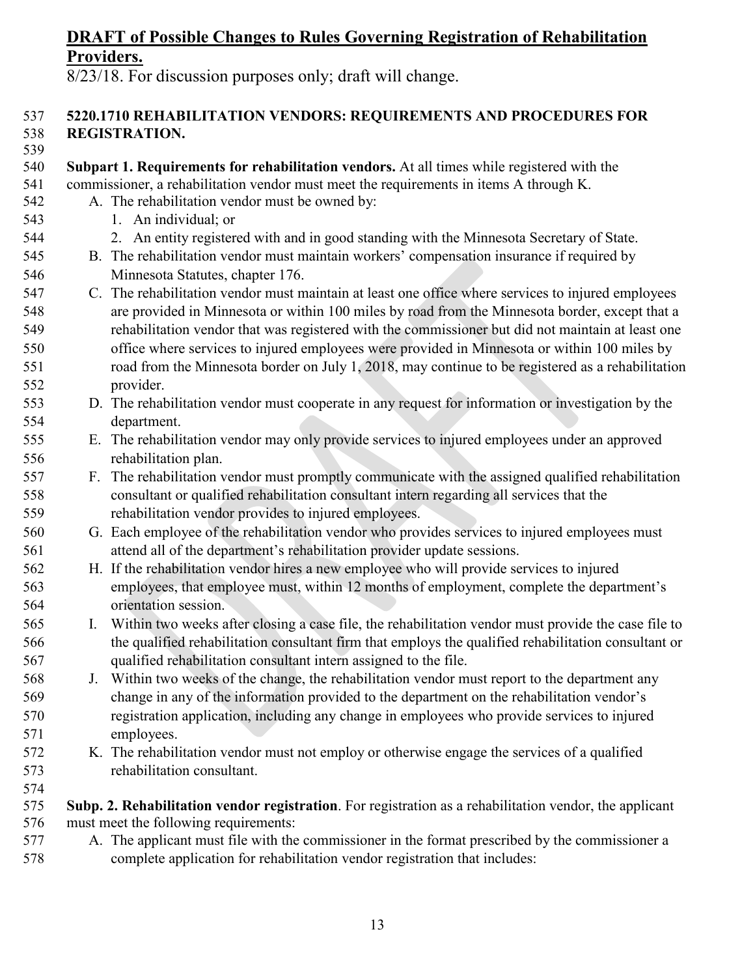8/23/18. For discussion purposes only; draft will change.

#### **5220.1710 REHABILITATION VENDORS: REQUIREMENTS AND PROCEDURES FOR REGISTRATION.**

- **Subpart 1. Requirements for rehabilitation vendors.** At all times while registered with the commissioner, a rehabilitation vendor must meet the requirements in items A through K.
- A. The rehabilitation vendor must be owned by:
- 1. An individual; or
- 2. An entity registered with and in good standing with the Minnesota Secretary of State.
- B. The rehabilitation vendor must maintain workers' compensation insurance if required by Minnesota Statutes, chapter 176.
- C. The rehabilitation vendor must maintain at least one office where services to injured employees are provided in Minnesota or within 100 miles by road from the Minnesota border, except that a rehabilitation vendor that was registered with the commissioner but did not maintain at least one office where services to injured employees were provided in Minnesota or within 100 miles by road from the Minnesota border on July 1, 2018, may continue to be registered as a rehabilitation provider.
- D. The rehabilitation vendor must cooperate in any request for information or investigation by the department.
- E. The rehabilitation vendor may only provide services to injured employees under an approved rehabilitation plan.
- F. The rehabilitation vendor must promptly communicate with the assigned qualified rehabilitation consultant or qualified rehabilitation consultant intern regarding all services that the rehabilitation vendor provides to injured employees.
- G. Each employee of the rehabilitation vendor who provides services to injured employees must attend all of the department's rehabilitation provider update sessions.
- H. If the rehabilitation vendor hires a new employee who will provide services to injured employees, that employee must, within 12 months of employment, complete the department's orientation session.
- I. Within two weeks after closing a case file, the rehabilitation vendor must provide the case file to the qualified rehabilitation consultant firm that employs the qualified rehabilitation consultant or qualified rehabilitation consultant intern assigned to the file.
- J. Within two weeks of the change, the rehabilitation vendor must report to the department any change in any of the information provided to the department on the rehabilitation vendor's registration application, including any change in employees who provide services to injured employees.
- K. The rehabilitation vendor must not employ or otherwise engage the services of a qualified rehabilitation consultant.
- **Subp. 2. Rehabilitation vendor registration**. For registration as a rehabilitation vendor, the applicant must meet the following requirements:
- A. The applicant must file with the commissioner in the format prescribed by the commissioner a complete application for rehabilitation vendor registration that includes: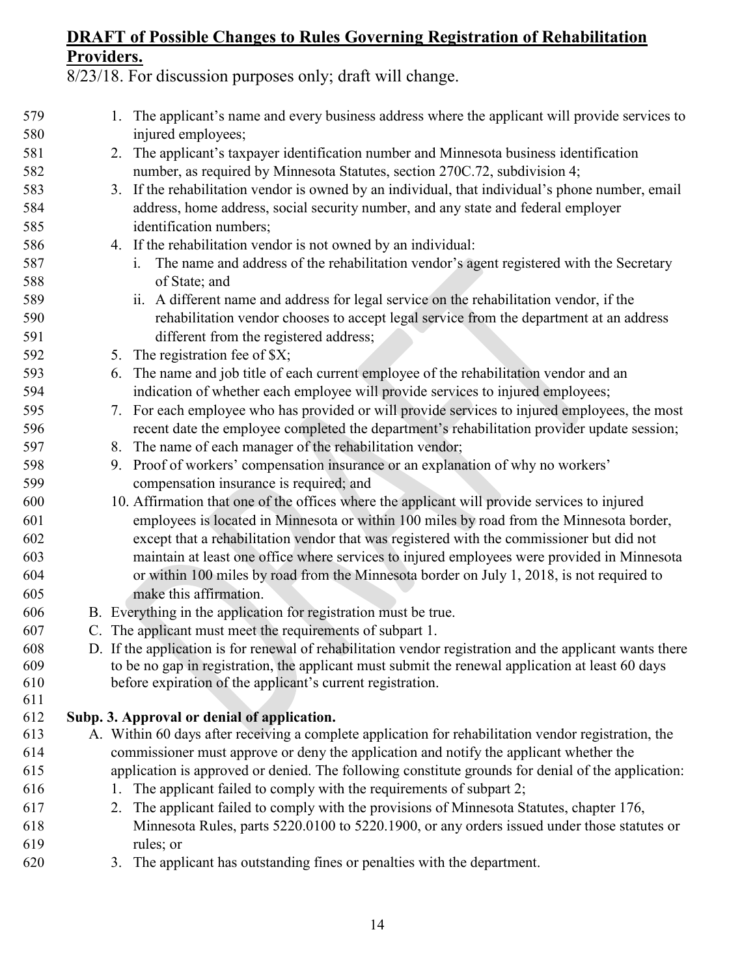| 579 |    | 1. The applicant's name and every business address where the applicant will provide services to          |
|-----|----|----------------------------------------------------------------------------------------------------------|
| 580 |    | injured employees;                                                                                       |
| 581 |    | 2. The applicant's taxpayer identification number and Minnesota business identification                  |
| 582 |    | number, as required by Minnesota Statutes, section 270C.72, subdivision 4;                               |
| 583 |    | 3. If the rehabilitation vendor is owned by an individual, that individual's phone number, email         |
| 584 |    | address, home address, social security number, and any state and federal employer                        |
| 585 |    | identification numbers;                                                                                  |
| 586 |    | 4. If the rehabilitation vendor is not owned by an individual:                                           |
| 587 |    | The name and address of the rehabilitation vendor's agent registered with the Secretary<br>1.            |
| 588 |    | of State; and                                                                                            |
| 589 |    | ii. A different name and address for legal service on the rehabilitation vendor, if the                  |
| 590 |    | rehabilitation vendor chooses to accept legal service from the department at an address                  |
| 591 |    | different from the registered address;                                                                   |
| 592 |    | 5. The registration fee of \$X;                                                                          |
| 593 |    | 6. The name and job title of each current employee of the rehabilitation vendor and an                   |
| 594 |    | indication of whether each employee will provide services to injured employees;                          |
| 595 |    | 7. For each employee who has provided or will provide services to injured employees, the most            |
| 596 |    | recent date the employee completed the department's rehabilitation provider update session;              |
| 597 |    | 8. The name of each manager of the rehabilitation vendor;                                                |
| 598 |    | 9. Proof of workers' compensation insurance or an explanation of why no workers'                         |
| 599 |    | compensation insurance is required; and                                                                  |
| 600 |    | 10. Affirmation that one of the offices where the applicant will provide services to injured             |
| 601 |    | employees is located in Minnesota or within 100 miles by road from the Minnesota border,                 |
| 602 |    | except that a rehabilitation vendor that was registered with the commissioner but did not                |
| 603 |    | maintain at least one office where services to injured employees were provided in Minnesota              |
| 604 |    | or within 100 miles by road from the Minnesota border on July 1, 2018, is not required to                |
| 605 |    | make this affirmation.                                                                                   |
| 606 |    | B. Everything in the application for registration must be true.                                          |
| 607 |    | C. The applicant must meet the requirements of subpart 1.                                                |
| 608 |    | D. If the application is for renewal of rehabilitation vendor registration and the applicant wants there |
| 609 |    | to be no gap in registration, the applicant must submit the renewal application at least 60 days         |
| 610 |    | before expiration of the applicant's current registration.                                               |
| 611 |    |                                                                                                          |
| 612 |    | Subp. 3. Approval or denial of application.                                                              |
| 613 |    | A. Within 60 days after receiving a complete application for rehabilitation vendor registration, the     |
| 614 |    | commissioner must approve or deny the application and notify the applicant whether the                   |
| 615 |    | application is approved or denied. The following constitute grounds for denial of the application:       |
| 616 | 1. | The applicant failed to comply with the requirements of subpart 2;                                       |
| 617 | 2. | The applicant failed to comply with the provisions of Minnesota Statutes, chapter 176,                   |
| 618 |    | Minnesota Rules, parts 5220.0100 to 5220.1900, or any orders issued under those statutes or              |
| 619 |    | rules; or                                                                                                |
| 620 |    | 3. The applicant has outstanding fines or penalties with the department.                                 |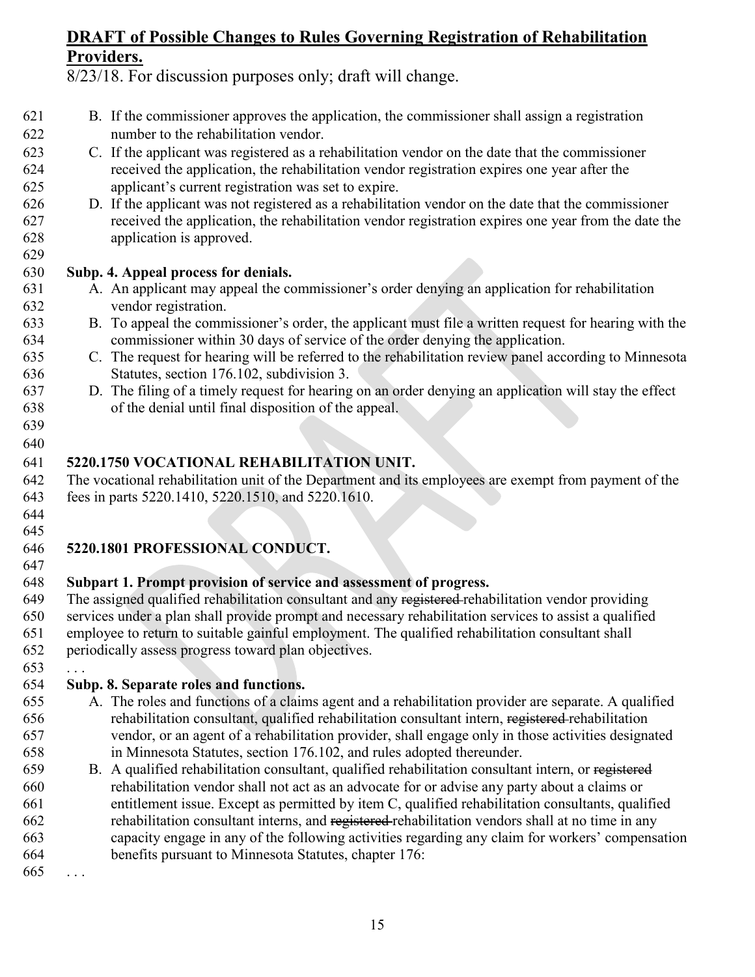8/23/18. For discussion purposes only; draft will change.

- B. If the commissioner approves the application, the commissioner shall assign a registration number to the rehabilitation vendor.
- C. If the applicant was registered as a rehabilitation vendor on the date that the commissioner received the application, the rehabilitation vendor registration expires one year after the applicant's current registration was set to expire.
- D. If the applicant was not registered as a rehabilitation vendor on the date that the commissioner received the application, the rehabilitation vendor registration expires one year from the date the application is approved.

#### **Subp. 4. Appeal process for denials.**

- A. An applicant may appeal the commissioner's order denying an application for rehabilitation vendor registration.
- B. To appeal the commissioner's order, the applicant must file a written request for hearing with the commissioner within 30 days of service of the order denying the application.
- C. The request for hearing will be referred to the rehabilitation review panel according to Minnesota Statutes, section [176.102,](https://www.revisor.mn.gov/statutes/?id=176.102) subdivision 3.
- D. The filing of a timely request for hearing on an order denying an application will stay the effect of the denial until final disposition of the appeal.
- 

#### **5220.1750 VOCATIONAL REHABILITATION UNIT.**

 The vocational rehabilitation unit of the Department and its employees are exempt from payment of the fees in parts 5220.1410, 5220.1510, and 5220.1610.

 

#### **5220.1801 PROFESSIONAL CONDUCT.**

#### **Subpart 1. Prompt provision of service and assessment of progress.**

649 The assigned qualified rehabilitation consultant and any registered-rehabilitation vendor providing services under a plan shall provide prompt and necessary rehabilitation services to assist a qualified employee to return to suitable gainful employment. The qualified rehabilitation consultant shall periodically assess progress toward plan objectives.

#### **Subp. 8. Separate roles and functions.**

- A. The roles and functions of a claims agent and a rehabilitation provider are separate. A qualified rehabilitation consultant, qualified rehabilitation consultant intern, registered rehabilitation vendor, or an agent of a rehabilitation provider, shall engage only in those activities designated in Minnesota Statutes, section 176.102, and rules adopted thereunder.
- B. A qualified rehabilitation consultant, qualified rehabilitation consultant intern, or registered rehabilitation vendor shall not act as an advocate for or advise any party about a claims or entitlement issue. Except as permitted by item C, qualified rehabilitation consultants, qualified rehabilitation consultant interns, and registered rehabilitation vendors shall at no time in any capacity engage in any of the following activities regarding any claim for workers' compensation benefits pursuant to Minnesota Statutes, chapter 176:

. . .